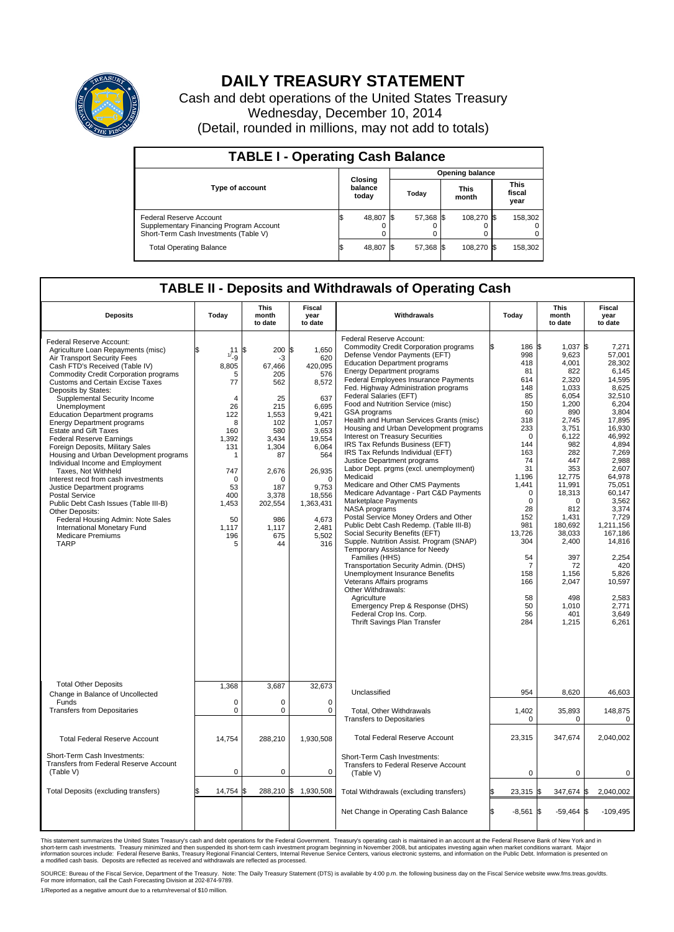

## **DAILY TREASURY STATEMENT**

Cash and debt operations of the United States Treasury Wednesday, December 10, 2014 (Detail, rounded in millions, may not add to totals)

| <b>TABLE I - Operating Cash Balance</b>                                                                            |     |                             |       |                        |                      |            |                               |         |  |  |
|--------------------------------------------------------------------------------------------------------------------|-----|-----------------------------|-------|------------------------|----------------------|------------|-------------------------------|---------|--|--|
|                                                                                                                    |     |                             |       | <b>Opening balance</b> |                      |            |                               |         |  |  |
| <b>Type of account</b>                                                                                             |     | Closing<br>balance<br>today | Today |                        | <b>This</b><br>month |            | <b>This</b><br>fiscal<br>year |         |  |  |
| <b>Federal Reserve Account</b><br>Supplementary Financing Program Account<br>Short-Term Cash Investments (Table V) |     | 48,807                      |       | 57,368 \$              |                      | 108.270 \$ |                               | 158,302 |  |  |
| <b>Total Operating Balance</b>                                                                                     | l\$ | 48,807                      |       | 57,368 \$              |                      | 108.270 \$ |                               | 158,302 |  |  |

## **TABLE II - Deposits and Withdrawals of Operating Cash**

| <b>Deposits</b>                                                                                                                                                                                                                                                                                                                                                                                                                                                                                                                                                                                                                                                                                                                                                                                                                                                      | Today                                                                                                                                                     | <b>This</b><br>month<br>to date                                                                                                                                           | <b>Fiscal</b><br>year<br>to date                                                                                                                                                                           | Withdrawals                                                                                                                                                                                                                                                                                                                                                                                                                                                                                                                                                                                                                                                                                                                                                                                                                                                                                                                                                                                                                                                                                                                                                                                                                                  | Today                                                                                                                                                                                                                                               | <b>This</b><br>month<br>to date                                                                                                                                                                                                                                                       | <b>Fiscal</b><br>year<br>to date                                                                                                                                                                                                                                                                                      |
|----------------------------------------------------------------------------------------------------------------------------------------------------------------------------------------------------------------------------------------------------------------------------------------------------------------------------------------------------------------------------------------------------------------------------------------------------------------------------------------------------------------------------------------------------------------------------------------------------------------------------------------------------------------------------------------------------------------------------------------------------------------------------------------------------------------------------------------------------------------------|-----------------------------------------------------------------------------------------------------------------------------------------------------------|---------------------------------------------------------------------------------------------------------------------------------------------------------------------------|------------------------------------------------------------------------------------------------------------------------------------------------------------------------------------------------------------|----------------------------------------------------------------------------------------------------------------------------------------------------------------------------------------------------------------------------------------------------------------------------------------------------------------------------------------------------------------------------------------------------------------------------------------------------------------------------------------------------------------------------------------------------------------------------------------------------------------------------------------------------------------------------------------------------------------------------------------------------------------------------------------------------------------------------------------------------------------------------------------------------------------------------------------------------------------------------------------------------------------------------------------------------------------------------------------------------------------------------------------------------------------------------------------------------------------------------------------------|-----------------------------------------------------------------------------------------------------------------------------------------------------------------------------------------------------------------------------------------------------|---------------------------------------------------------------------------------------------------------------------------------------------------------------------------------------------------------------------------------------------------------------------------------------|-----------------------------------------------------------------------------------------------------------------------------------------------------------------------------------------------------------------------------------------------------------------------------------------------------------------------|
| Federal Reserve Account:<br>Agriculture Loan Repayments (misc)<br>Air Transport Security Fees<br>Cash FTD's Received (Table IV)<br><b>Commodity Credit Corporation programs</b><br><b>Customs and Certain Excise Taxes</b><br>Deposits by States:<br>Supplemental Security Income<br>Unemployment<br><b>Education Department programs</b><br><b>Energy Department programs</b><br><b>Estate and Gift Taxes</b><br><b>Federal Reserve Earnings</b><br>Foreign Deposits, Military Sales<br>Housing and Urban Development programs<br>Individual Income and Employment<br>Taxes. Not Withheld<br>Interest recd from cash investments<br>Justice Department programs<br><b>Postal Service</b><br>Public Debt Cash Issues (Table III-B)<br>Other Deposits:<br>Federal Housing Admin: Note Sales<br>International Monetary Fund<br><b>Medicare Premiums</b><br><b>TARP</b> | \$<br>11/19<br>8,805<br>5<br>77<br>4<br>26<br>122<br>8<br>160<br>1,392<br>131<br>1<br>747<br>$\mathbf 0$<br>53<br>400<br>1,453<br>50<br>1,117<br>196<br>5 | 200<br>\$<br>-3<br>67.466<br>205<br>562<br>25<br>215<br>1,553<br>102<br>580<br>3,434<br>1,304<br>87<br>2,676<br>O<br>187<br>3,378<br>202,554<br>986<br>1,117<br>675<br>44 | \$<br>1,650<br>620<br>420.095<br>576<br>8,572<br>637<br>6,695<br>9,421<br>1,057<br>3,653<br>19,554<br>6,064<br>564<br>26,935<br>$\Omega$<br>9,753<br>18,556<br>1,363,431<br>4,673<br>2,481<br>5,502<br>316 | Federal Reserve Account:<br><b>Commodity Credit Corporation programs</b><br>Defense Vendor Payments (EFT)<br><b>Education Department programs</b><br><b>Energy Department programs</b><br><b>Federal Employees Insurance Payments</b><br>Fed. Highway Administration programs<br>Federal Salaries (EFT)<br>Food and Nutrition Service (misc)<br>GSA programs<br>Health and Human Services Grants (misc)<br>Housing and Urban Development programs<br>Interest on Treasury Securities<br>IRS Tax Refunds Business (EFT)<br>IRS Tax Refunds Individual (EFT)<br>Justice Department programs<br>Labor Dept. prgms (excl. unemployment)<br>Medicaid<br>Medicare and Other CMS Payments<br>Medicare Advantage - Part C&D Payments<br>Marketplace Payments<br>NASA programs<br>Postal Service Money Orders and Other<br>Public Debt Cash Redemp. (Table III-B)<br>Social Security Benefits (EFT)<br>Supple. Nutrition Assist. Program (SNAP)<br>Temporary Assistance for Needy<br>Families (HHS)<br>Transportation Security Admin. (DHS)<br>Unemployment Insurance Benefits<br>Veterans Affairs programs<br>Other Withdrawals:<br>Agriculture<br>Emergency Prep & Response (DHS)<br>Federal Crop Ins. Corp.<br><b>Thrift Savings Plan Transfer</b> | 186 \$<br>998<br>418<br>81<br>614<br>148<br>85<br>150<br>60<br>318<br>233<br>$\Omega$<br>144<br>163<br>74<br>31<br>1,196<br>1,441<br>$\Omega$<br>$\mathbf 0$<br>28<br>152<br>981<br>13,726<br>304<br>54<br>7<br>158<br>166<br>58<br>50<br>56<br>284 | $1.037$ \$<br>9,623<br>4,001<br>822<br>2,320<br>1,033<br>6,054<br>1,200<br>890<br>2,745<br>3,751<br>6,122<br>982<br>282<br>447<br>353<br>12,775<br>11,991<br>18,313<br>0<br>812<br>1,431<br>180,692<br>38,033<br>2,400<br>397<br>72<br>1.156<br>2,047<br>498<br>1,010<br>401<br>1,215 | 7,271<br>57,001<br>28,302<br>6,145<br>14,595<br>8,625<br>32,510<br>6,204<br>3,804<br>17,895<br>16,930<br>46,992<br>4,894<br>7,269<br>2.988<br>2,607<br>64,978<br>75,051<br>60.147<br>3,562<br>3,374<br>7,729<br>1,211,156<br>167,186<br>14,816<br>2,254<br>420<br>5,826<br>10,597<br>2,583<br>2,771<br>3,649<br>6,261 |
| <b>Total Other Deposits</b><br>Change in Balance of Uncollected                                                                                                                                                                                                                                                                                                                                                                                                                                                                                                                                                                                                                                                                                                                                                                                                      | 1,368                                                                                                                                                     | 3,687                                                                                                                                                                     | 32,673                                                                                                                                                                                                     | Unclassified                                                                                                                                                                                                                                                                                                                                                                                                                                                                                                                                                                                                                                                                                                                                                                                                                                                                                                                                                                                                                                                                                                                                                                                                                                 | 954                                                                                                                                                                                                                                                 | 8,620                                                                                                                                                                                                                                                                                 | 46,603                                                                                                                                                                                                                                                                                                                |
| Funds<br><b>Transfers from Depositaries</b>                                                                                                                                                                                                                                                                                                                                                                                                                                                                                                                                                                                                                                                                                                                                                                                                                          | $\mathbf 0$<br>$\mathbf 0$                                                                                                                                | 0<br>0                                                                                                                                                                    | 0<br>$\mathbf 0$                                                                                                                                                                                           | <b>Total, Other Withdrawals</b><br><b>Transfers to Depositaries</b>                                                                                                                                                                                                                                                                                                                                                                                                                                                                                                                                                                                                                                                                                                                                                                                                                                                                                                                                                                                                                                                                                                                                                                          | 1,402<br>0                                                                                                                                                                                                                                          | 35,893<br>0                                                                                                                                                                                                                                                                           | 148,875<br>0                                                                                                                                                                                                                                                                                                          |
| <b>Total Federal Reserve Account</b>                                                                                                                                                                                                                                                                                                                                                                                                                                                                                                                                                                                                                                                                                                                                                                                                                                 | 14,754                                                                                                                                                    | 288,210                                                                                                                                                                   | 1,930,508                                                                                                                                                                                                  | <b>Total Federal Reserve Account</b>                                                                                                                                                                                                                                                                                                                                                                                                                                                                                                                                                                                                                                                                                                                                                                                                                                                                                                                                                                                                                                                                                                                                                                                                         | 23,315                                                                                                                                                                                                                                              | 347,674                                                                                                                                                                                                                                                                               | 2,040,002                                                                                                                                                                                                                                                                                                             |
| Short-Term Cash Investments:<br>Transfers from Federal Reserve Account<br>(Table V)                                                                                                                                                                                                                                                                                                                                                                                                                                                                                                                                                                                                                                                                                                                                                                                  | $\mathbf 0$                                                                                                                                               | 0                                                                                                                                                                         | 0                                                                                                                                                                                                          | Short-Term Cash Investments:<br>Transfers to Federal Reserve Account<br>(Table V)                                                                                                                                                                                                                                                                                                                                                                                                                                                                                                                                                                                                                                                                                                                                                                                                                                                                                                                                                                                                                                                                                                                                                            | $\mathbf 0$                                                                                                                                                                                                                                         | 0                                                                                                                                                                                                                                                                                     | 0                                                                                                                                                                                                                                                                                                                     |
| Total Deposits (excluding transfers)                                                                                                                                                                                                                                                                                                                                                                                                                                                                                                                                                                                                                                                                                                                                                                                                                                 | 14,754<br>\$                                                                                                                                              | \$                                                                                                                                                                        | 288,210 \$ 1,930,508                                                                                                                                                                                       | Total Withdrawals (excluding transfers)                                                                                                                                                                                                                                                                                                                                                                                                                                                                                                                                                                                                                                                                                                                                                                                                                                                                                                                                                                                                                                                                                                                                                                                                      | $23,315$ \$                                                                                                                                                                                                                                         | 347,674 \$                                                                                                                                                                                                                                                                            | 2,040,002                                                                                                                                                                                                                                                                                                             |
|                                                                                                                                                                                                                                                                                                                                                                                                                                                                                                                                                                                                                                                                                                                                                                                                                                                                      |                                                                                                                                                           |                                                                                                                                                                           |                                                                                                                                                                                                            | Net Change in Operating Cash Balance                                                                                                                                                                                                                                                                                                                                                                                                                                                                                                                                                                                                                                                                                                                                                                                                                                                                                                                                                                                                                                                                                                                                                                                                         | l\$<br>$-8,561$ \$                                                                                                                                                                                                                                  | $-59,464$ \$                                                                                                                                                                                                                                                                          | $-109,495$                                                                                                                                                                                                                                                                                                            |

This statement summarizes the United States Treasury's cash and debt operations for the Federal Government. Treasury's operating cash is maintained in an account at the Federal Reserve Bank of New York and in<br>short-term ca

SOURCE: Bureau of the Fiscal Service, Department of the Treasury. Note: The Daily Treasury Statement (DTS) is available by 4:00 p.m. the following business day on the Fiscal Service website www.fms.treas.gov/dts.<br>For more

1/Reported as a negative amount due to a return/reversal of \$10 million.